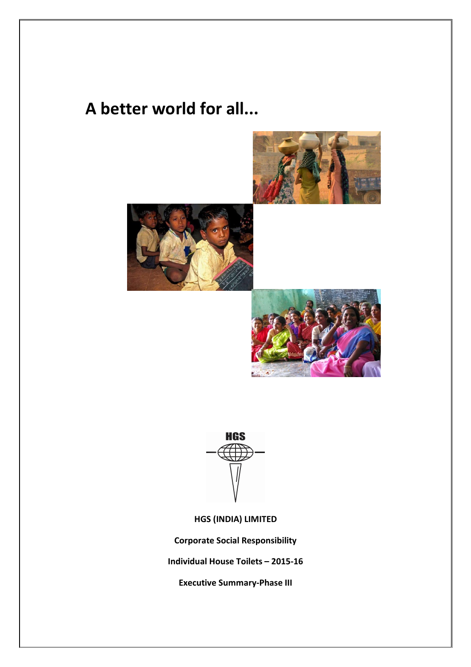## **A better world for all...**









**HGS (INDIA) LIMITED**

**Corporate Social Responsibility**

**Individual House Toilets – 2015-16**

**Executive Summary-Phase III**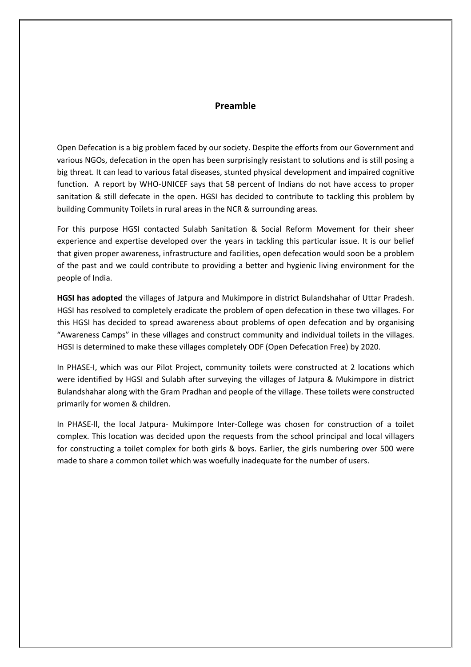## **Preamble**

Open Defecation is a big problem faced by our society. Despite the efforts from our Government and various NGOs, defecation in the open has been surprisingly resistant to solutions and is still posing a big threat. It can lead to various fatal diseases, stunted physical development and impaired cognitive function. A report by WHO-UNICEF says that 58 percent of Indians do not have access to proper sanitation & still defecate in the open. HGSI has decided to contribute to tackling this problem by building Community Toilets in rural areas in the NCR & surrounding areas.

For this purpose HGSI contacted Sulabh Sanitation & Social Reform Movement for their sheer experience and expertise developed over the years in tackling this particular issue. It is our belief that given proper awareness, infrastructure and facilities, open defecation would soon be a problem of the past and we could contribute to providing a better and hygienic living environment for the people of India.

**HGSI has adopted** the villages of Jatpura and Mukimpore in district Bulandshahar of Uttar Pradesh. HGSI has resolved to completely eradicate the problem of open defecation in these two villages. For this HGSI has decided to spread awareness about problems of open defecation and by organising "Awareness Camps" in these villages and construct community and individual toilets in the villages. HGSI is determined to make these villages completely ODF (Open Defecation Free) by 2020.

In PHASE-I, which was our Pilot Project, community toilets were constructed at 2 locations which were identified by HGSI and Sulabh after surveying the villages of Jatpura & Mukimpore in district Bulandshahar along with the Gram Pradhan and people of the village. These toilets were constructed primarily for women & children.

In PHASE-ll, the local Jatpura- Mukimpore Inter-College was chosen for construction of a toilet complex. This location was decided upon the requests from the school principal and local villagers for constructing a toilet complex for both girls & boys. Earlier, the girls numbering over 500 were made to share a common toilet which was woefully inadequate for the number of users.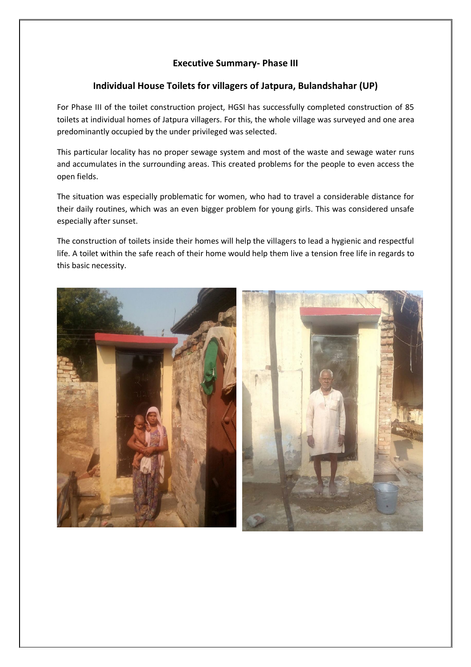## **Executive Summary- Phase III**

## **Individual House Toilets for villagers of Jatpura, Bulandshahar (UP)**

For Phase III of the toilet construction project, HGSI has successfully completed construction of 85 toilets at individual homes of Jatpura villagers. For this, the whole village was surveyed and one area predominantly occupied by the under privileged was selected.

This particular locality has no proper sewage system and most of the waste and sewage water runs and accumulates in the surrounding areas. This created problems for the people to even access the open fields.

The situation was especially problematic for women, who had to travel a considerable distance for their daily routines, which was an even bigger problem for young girls. This was considered unsafe especially after sunset.

The construction of toilets inside their homes will help the villagers to lead a hygienic and respectful life. A toilet within the safe reach of their home would help them live a tension free life in regards to this basic necessity.

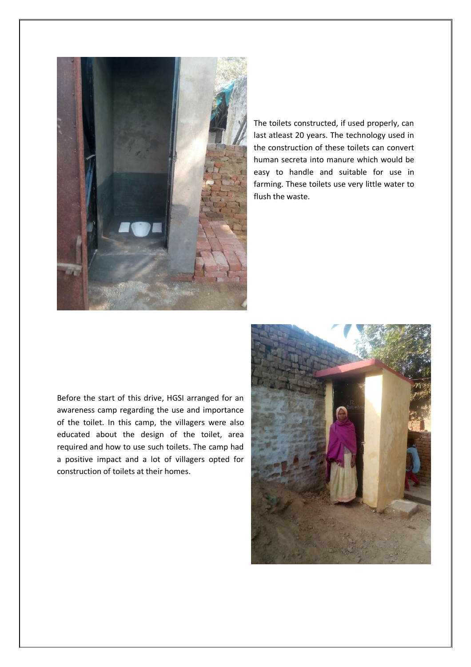

The toilets constructed, if used properly, can last atleast 20 years. The technology used in the construction of these toilets can convert human secreta into manure which would be easy to handle and suitable for use in farming. These toilets use very little water to flush the waste.

Before the start of this drive, HGSI arranged for an awareness camp regarding the use and importance of the toilet. In this camp, the villagers were also educated about the design of the toilet, area required and how to use such toilets. The camp had a positive impact and a lot of villagers opted for construction of toilets at their homes.